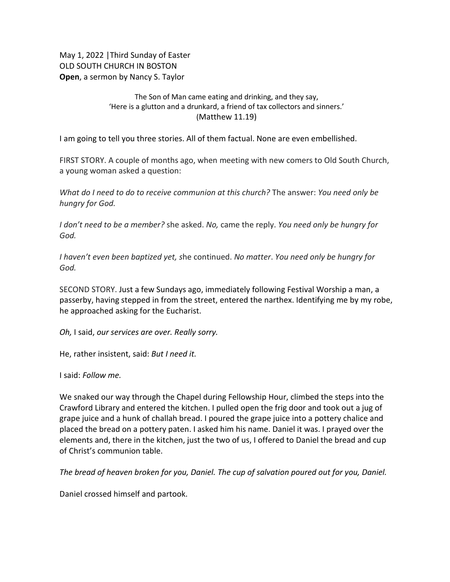May 1, 2022 |Third Sunday of Easter OLD SOUTH CHURCH IN BOSTON **Open**, a sermon by Nancy S. Taylor

## The Son of Man came eating and drinking, and they say, 'Here is a glutton and a drunkard, a friend of tax collectors and sinners.' (Matthew 11.19)

I am going to tell you three stories. All of them factual. None are even embellished.

FIRST STORY. A couple of months ago, when meeting with new comers to Old South Church, a young woman asked a question:

*What do I need to do to receive communion at this church?* The answer: *You need only be hungry for God.*

*I don't need to be a member?* she asked. *No,* came the reply. *You need only be hungry for God.*

*I haven't even been baptized yet, s*he continued. *No matter*. *You need only be hungry for God.*

SECOND STORY. Just a few Sundays ago, immediately following Festival Worship a man, a passerby, having stepped in from the street, entered the narthex. Identifying me by my robe, he approached asking for the Eucharist.

*Oh,* I said, *our services are over. Really sorry.*

He, rather insistent, said: *But I need it.*

I said: *Follow me.*

We snaked our way through the Chapel during Fellowship Hour, climbed the steps into the Crawford Library and entered the kitchen. I pulled open the frig door and took out a jug of grape juice and a hunk of challah bread. I poured the grape juice into a pottery chalice and placed the bread on a pottery paten. I asked him his name. Daniel it was. I prayed over the elements and, there in the kitchen, just the two of us, I offered to Daniel the bread and cup of Christ's communion table.

*The bread of heaven broken for you, Daniel. The cup of salvation poured out for you, Daniel.*

Daniel crossed himself and partook.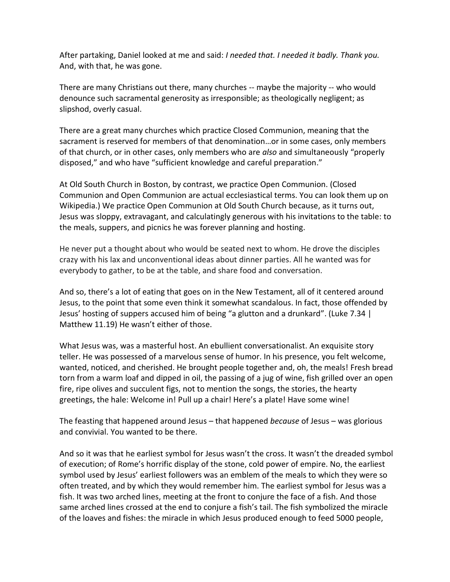After partaking, Daniel looked at me and said: *I needed that. I needed it badly. Thank you.*  And, with that, he was gone.

There are many Christians out there, many churches -- maybe the majority -- who would denounce such sacramental generosity as irresponsible; as theologically negligent; as slipshod, overly casual.

There are a great many churches which practice Closed Communion, meaning that the sacrament is reserved for members of that denomination…or in some cases, only members of that church, or in other cases, only members who are *also* and simultaneously "[properly](https://canonlaw.ninja/?nums=843%C2%A71)  [disposed](https://canonlaw.ninja/?nums=843%C2%A71)," and who have "[sufficient knowledge and careful preparation.](https://canonlaw.ninja/?nums=913)"

At Old South Church in Boston, by contrast, we practice Open Communion. (Closed Communion and Open Communion are actual ecclesiastical terms. You can look them up on Wikipedia.) We practice Open Communion at Old South Church because, as it turns out, Jesus was sloppy, extravagant, and calculatingly generous with his invitations to the table: to the meals, suppers, and picnics he was forever planning and hosting.

He never put a thought about who would be seated next to whom. He drove the disciples crazy with his lax and unconventional ideas about dinner parties. All he wanted was for everybody to gather, to be at the table, and share food and conversation.

And so, there's a lot of eating that goes on in the New Testament, all of it centered around Jesus, to the point that some even think it somewhat scandalous. In fact, those offended by Jesus' hosting of suppers accused him of being "a glutton and a drunkard". (Luke 7.34 | Matthew 11.19) He wasn't either of those.

What Jesus was, was a masterful host. An ebullient conversationalist. An exquisite story teller. He was possessed of a marvelous sense of humor. In his presence, you felt welcome, wanted, noticed, and cherished. He brought people together and, oh, the meals! Fresh bread torn from a warm loaf and dipped in oil, the passing of a jug of wine, fish grilled over an open fire, ripe olives and succulent figs, not to mention the songs, the stories, the hearty greetings, the hale: Welcome in! Pull up a chair! Here's a plate! Have some wine!

The feasting that happened around Jesus – that happened *because* of Jesus – was glorious and convivial. You wanted to be there.

And so it was that he earliest symbol for Jesus wasn't the cross. It wasn't the dreaded symbol of execution; of Rome's horrific display of the stone, cold power of empire. No, the earliest symbol used by Jesus' earliest followers was an emblem of the meals to which they were so often treated, and by which they would remember him. The earliest symbol for Jesus was a fish. It was two arched lines, meeting at the front to conjure the face of a fish. And those same arched lines crossed at the end to conjure a fish's tail. The fish symbolized the miracle of the loaves and fishes: the miracle in which Jesus produced enough to feed 5000 people,